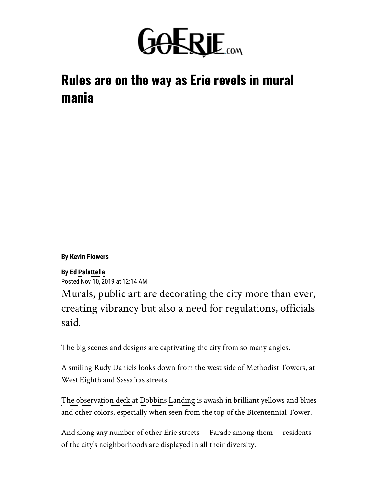

# Rules are on the way as Erie revels in mural mania

**By [Kevin Flowers](mailto:kflowers@timesnews.com)**

### **By [Ed Palattella](mailto:epalattella@timesnews.com)**

Posted Nov 10, 2019 at 12:14 AM

Murals, public art are decorating the city more than ever, creating vibrancy but also a need for regulations, officials said.

The big scenes and designs are captivating the city from so many angles.

[A smiling Rudy Daniels](https://www.goerie.com/opinion/20191016/kevin-flowers-mural-puts-erie-man-in-spotlight) looks down from the west side of Methodist Towers, at West Eighth and Sassafras streets.

[The observation deck at Dobbins Landing](https://www.goerie.com/news/20190814/artist-satone-completes-mural-at-eries-dobbins-landing) is awash in brilliant yellows and blues and other colors, especially when seen from the top of the Bicentennial Tower.

And along any number of other Erie streets — Parade among them — residents of the city's neighborhoods are displayed in all their diversity.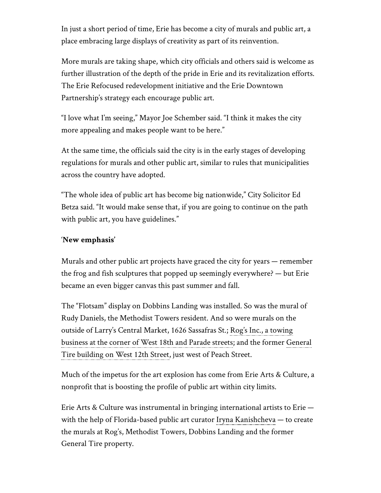In just a short period of time, Erie has become a city of murals and public art, a place embracing large displays of creativity as part of its reinvention.

More murals are taking shape, which city officials and others said is welcome as further illustration of the depth of the pride in Erie and its revitalization efforts. The Erie Refocused redevelopment initiative and the Erie Downtown Partnership's strategy each encourage public art.

"I love what I'm seeing," Mayor Joe Schember said. "I think it makes the city more appealing and makes people want to be here."

At the same time, the officials said the city is in the early stages of developing regulations for murals and other public art, similar to rules that municipalities across the country have adopted.

"The whole idea of public art has become big nationwide," City Solicitor Ed Betza said. "It would make sense that, if you are going to continue on the path with public art, you have guidelines."

## '**New emphasis'**

Murals and other public art projects have graced the city for years — remember the frog and fish sculptures that popped up seemingly everywhere? — but Erie became an even bigger canvas this past summer and fall.

The "Flotsam" display on Dobbins Landing was installed. So was the mural of Rudy Daniels, the Methodist Towers resident. And so were murals on the outside of Larry's Central Market, 1626 Sassafras St.; Rog's Inc., a towing [business at the corner of West 18th and Parade streets; and the former G](https://www.goerie.com/news/20191024/erie-mural-to-showcase-eastside-diversity)[eneral](https://www.goerie.com/news/20190905/public-art-project-underway-on-eries-west-12th-street) Tire building on West 12th Street, just west of Peach Street.

Much of the impetus for the art explosion has come from Erie Arts & Culture, a nonprofit that is boosting the profile of public art within city limits.

Erie Arts & Culture was instrumental in bringing international artists to Erie with the help of Florida-based public art curator [Iryna Kanishcheva](http://kanishcheva.com/) — to create the murals at Rog's, Methodist Towers, Dobbins Landing and the former General Tire property.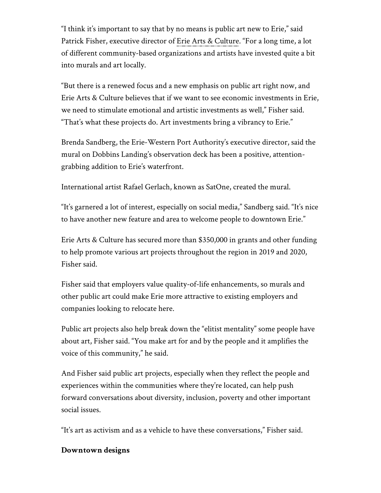"I think it's important to say that by no means is public art new to Erie," said Patrick Fisher, executive director of [Erie Arts & Culture](https://www.erieartsandculture.org/). "For a long time, a lot of different community-based organizations and artists have invested quite a bit into murals and art locally.

"But there is a renewed focus and a new emphasis on public art right now, and Erie Arts & Culture believes that if we want to see economic investments in Erie, we need to stimulate emotional and artistic investments as well," Fisher said. "That's what these projects do. Art investments bring a vibrancy to Erie."

Brenda Sandberg, the Erie-Western Port Authority's executive director, said the mural on Dobbins Landing's observation deck has been a positive, attentiongrabbing addition to Erie's waterfront.

International artist Rafael Gerlach, known as SatOne, created the mural.

"It's garnered a lot of interest, especially on social media," Sandberg said. "It's nice to have another new feature and area to welcome people to downtown Erie."

Erie Arts & Culture has secured more than \$350,000 in grants and other funding to help promote various art projects throughout the region in 2019 and 2020, Fisher said.

Fisher said that employers value quality-of-life enhancements, so murals and other public art could make Erie more attractive to existing employers and companies looking to relocate here.

Public art projects also help break down the "elitist mentality" some people have about art, Fisher said. "You make art for and by the people and it amplifies the voice of this community," he said.

And Fisher said public art projects, especially when they reflect the people and experiences within the communities where they're located, can help push forward conversations about diversity, inclusion, poverty and other important social issues.

"It's art as activism and as a vehicle to have these conversations," Fisher said.

## **Downtown designs**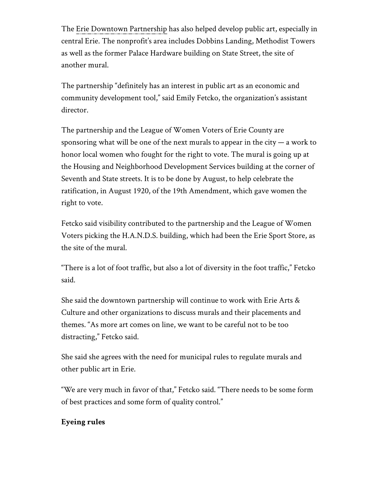The [Erie Downtown Partnership](https://www.eriedowntown.com/) has also helped develop public art, especially in central Erie. The nonprofit's area includes Dobbins Landing, Methodist Towers as well as the former Palace Hardware building on State Street, the site of another mural.

The partnership "definitely has an interest in public art as an economic and community development tool," said Emily Fetcko, the organization's assistant director.

The partnership and the League of Women Voters of Erie County are sponsoring what will be one of the next murals to appear in the city  $-$  a work to honor local women who fought for the right to vote. The mural is going up at the Housing and Neighborhood Development Services building at the corner of Seventh and State streets. It is to be done by August, to help celebrate the ratification, in August 1920, of the 19th Amendment, which gave women the right to vote.

Fetcko said visibility contributed to the partnership and the League of Women Voters picking the H.A.N.D.S. building, which had been the Erie Sport Store, as the site of the mural.

"There is a lot of foot traffic, but also a lot of diversity in the foot traffic," Fetcko said.

She said the downtown partnership will continue to work with Erie Arts & Culture and other organizations to discuss murals and their placements and themes. "As more art comes on line, we want to be careful not to be too distracting," Fetcko said.

She said she agrees with the need for municipal rules to regulate murals and other public art in Erie.

"We are very much in favor of that," Fetcko said. "There needs to be some form of best practices and some form of quality control."

## **Eyeing rules**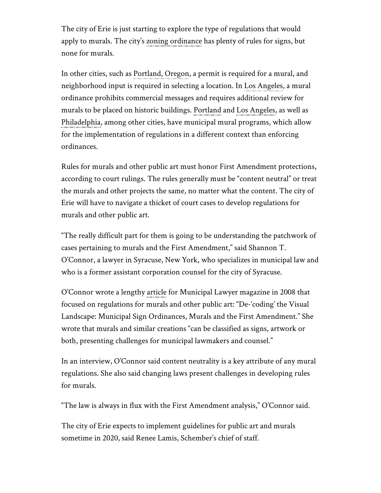The city of Erie is just starting to explore the type of regulations that would apply to murals. The city's [zoning ordinance](https://ecode360.com/attachment/ER3969/City%20of%20Erie%20Zoning%20Ordinance%20-%20Rev%20G2.pdf) has plenty of rules for signs, but none for murals.

In other cities, such as [Portland, Oregon](https://www.portlandoregon.gov/bds/article/249528), a permit is required for a mural, and neighborhood input is required in selecting a location. In [Los Angeles,](https://culturela.org/faqs/) a mural ordinance prohibits commercial messages and requires additional review for murals to be placed on historic buildings. [Portland](https://racc.org/public-art/public-art-murals-program/) and [Los Angeles,](http://sparcinla.org/cwmp/) as well as [Philadelphia,](https://www.phila.gov/departments/mural-arts-philadelphia/) among other cities, have municipal mural programs, which allow for the implementation of regulations in a different context than enforcing ordinances.

Rules for murals and other public art must honor First Amendment protections, according to court rulings. The rules generally must be "content neutral" or treat the murals and other projects the same, no matter what the content. The city of Erie will have to navigate a thicket of court cases to develop regulations for murals and other public art.

"The really difficult part for them is going to be understanding the patchwork of cases pertaining to murals and the First Amendment," said Shannon T. O'Connor, a lawyer in Syracuse, New York, who specializes in municipal law and who is a former assistant corporation counsel for the city of Syracuse.

O'Connor wrote a lengthy [article](https://media.goldbergsegalla.com/uploads/sto-de-coding%20the%20visual%20landscape-municipal%20sign%20ordinances%2c%20murals%2c%20and%20the%20first%20amendment-municipal%20lawyer.pdf) for Municipal Lawyer magazine in 2008 that focused on regulations for murals and other public art: "De-'coding' the Visual Landscape: Municipal Sign Ordinances, Murals and the First Amendment." She wrote that murals and similar creations "can be classified as signs, artwork or both, presenting challenges for municipal lawmakers and counsel."

In an interview, O'Connor said content neutrality is a key attribute of any mural regulations. She also said changing laws present challenges in developing rules for murals.

"The law is always in flux with the First Amendment analysis," O'Connor said.

The city of Erie expects to implement guidelines for public art and murals sometime in 2020, said Renee Lamis, Schember's chief of staff.